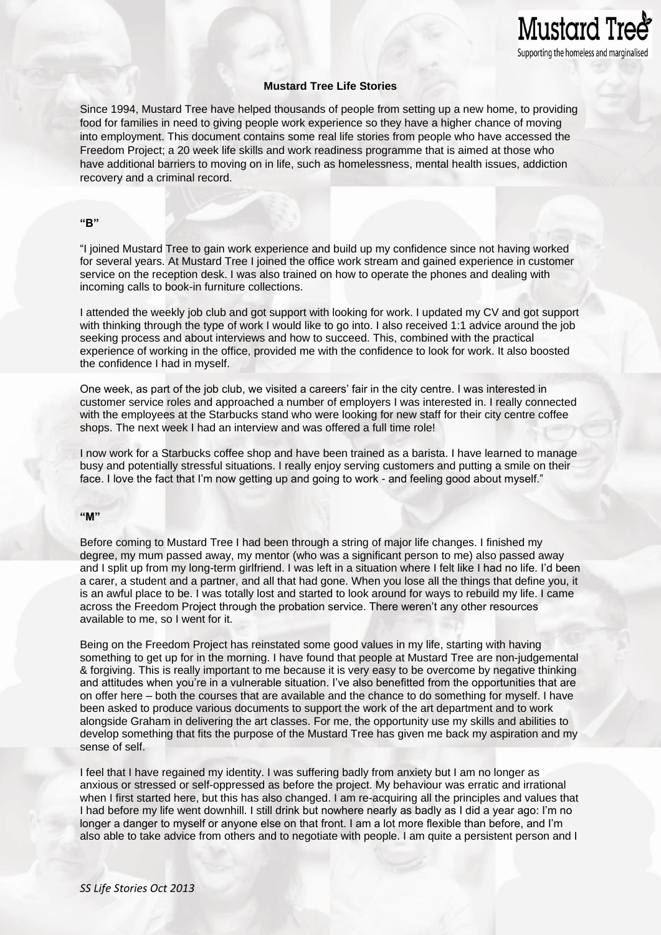# **Mustard Tree Life Stories**

Mustard Tre

Supporting the homeless and marginalised

Since 1994, Mustard Tree have helped thousands of people from setting up a new home, to providing food for families in need to giving people work experience so they have a higher chance of moving into employment. This document contains some real life stories from people who have accessed the Freedom Project; a 20 week life skills and work readiness programme that is aimed at those who have additional barriers to moving on in life, such as homelessness, mental health issues, addiction recovery and a criminal record.

## **"B"**

"I joined Mustard Tree to gain work experience and build up my confidence since not having worked for several years. At Mustard Tree I joined the office work stream and gained experience in customer service on the reception desk. I was also trained on how to operate the phones and dealing with incoming calls to book-in furniture collections.

I attended the weekly job club and got support with looking for work. I updated my CV and got support with thinking through the type of work I would like to go into. I also received 1:1 advice around the job seeking process and about interviews and how to succeed. This, combined with the practical experience of working in the office, provided me with the confidence to look for work. It also boosted the confidence I had in myself.

One week, as part of the job club, we visited a careers' fair in the city centre. I was interested in customer service roles and approached a number of employers I was interested in. I really connected with the employees at the Starbucks stand who were looking for new staff for their city centre coffee shops. The next week I had an interview and was offered a full time role!

I now work for a Starbucks coffee shop and have been trained as a barista. I have learned to manage busy and potentially stressful situations. I really enjoy serving customers and putting a smile on their face. I love the fact that I'm now getting up and going to work - and feeling good about myself."

## **"M"**

Before coming to Mustard Tree I had been through a string of major life changes. I finished my degree, my mum passed away, my mentor (who was a significant person to me) also passed away and I split up from my long-term girlfriend. I was left in a situation where I felt like I had no life. I'd been a carer, a student and a partner, and all that had gone. When you lose all the things that define you, it is an awful place to be. I was totally lost and started to look around for ways to rebuild my life. I came across the Freedom Project through the probation service. There weren't any other resources available to me, so I went for it.

Being on the Freedom Project has reinstated some good values in my life, starting with having something to get up for in the morning. I have found that people at Mustard Tree are non-judgemental & forgiving. This is really important to me because it is very easy to be overcome by negative thinking and attitudes when you're in a vulnerable situation. I've also benefitted from the opportunities that are on offer here – both the courses that are available and the chance to do something for myself. I have been asked to produce various documents to support the work of the art department and to work alongside Graham in delivering the art classes. For me, the opportunity use my skills and abilities to develop something that fits the purpose of the Mustard Tree has given me back my aspiration and my sense of self.

I feel that I have regained my identity. I was suffering badly from anxiety but I am no longer as anxious or stressed or self-oppressed as before the project. My behaviour was erratic and irrational when I first started here, but this has also changed. I am re-acquiring all the principles and values that I had before my life went downhill. I still drink but nowhere nearly as badly as I did a year ago: I'm no longer a danger to myself or anyone else on that front. I am a lot more flexible than before, and I'm also able to take advice from others and to negotiate with people. I am quite a persistent person and I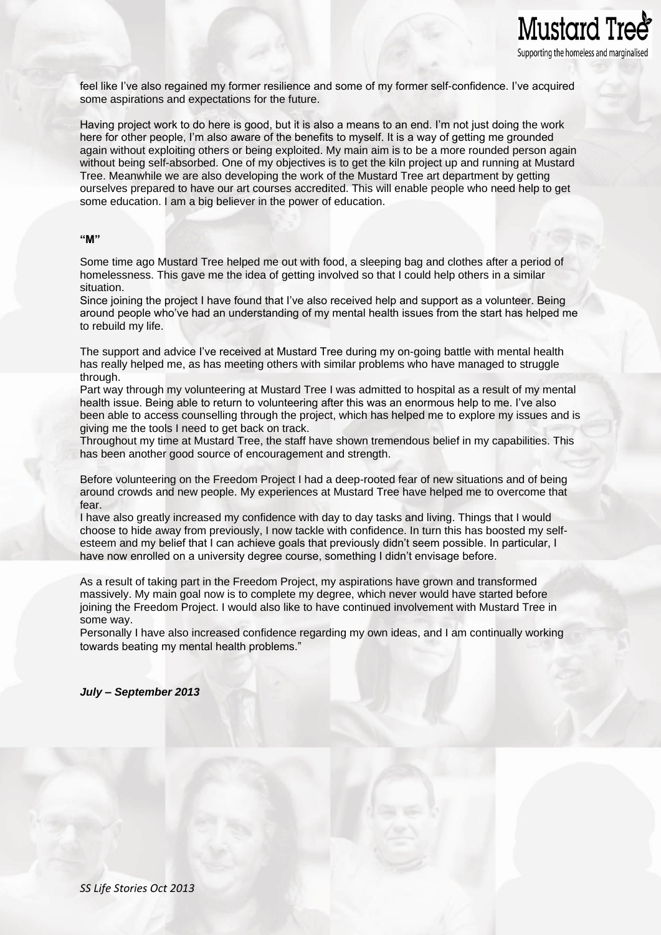

feel like I've also regained my former resilience and some of my former self-confidence. I've acquired some aspirations and expectations for the future.

Having project work to do here is good, but it is also a means to an end. I'm not just doing the work here for other people, I'm also aware of the benefits to myself. It is a way of getting me grounded again without exploiting others or being exploited. My main aim is to be a more rounded person again without being self-absorbed. One of my objectives is to get the kiln project up and running at Mustard Tree. Meanwhile we are also developing the work of the Mustard Tree art department by getting ourselves prepared to have our art courses accredited. This will enable people who need help to get some education. I am a big believer in the power of education.

# **"M"**

Some time ago Mustard Tree helped me out with food, a sleeping bag and clothes after a period of homelessness. This gave me the idea of getting involved so that I could help others in a similar situation.

Since joining the project I have found that I've also received help and support as a volunteer. Being around people who've had an understanding of my mental health issues from the start has helped me to rebuild my life.

The support and advice I've received at Mustard Tree during my on-going battle with mental health has really helped me, as has meeting others with similar problems who have managed to struggle through.

Part way through my volunteering at Mustard Tree I was admitted to hospital as a result of my mental health issue. Being able to return to volunteering after this was an enormous help to me. I've also been able to access counselling through the project, which has helped me to explore my issues and is giving me the tools I need to get back on track.

Throughout my time at Mustard Tree, the staff have shown tremendous belief in my capabilities. This has been another good source of encouragement and strength.

Before volunteering on the Freedom Project I had a deep-rooted fear of new situations and of being around crowds and new people. My experiences at Mustard Tree have helped me to overcome that fear.

I have also greatly increased my confidence with day to day tasks and living. Things that I would choose to hide away from previously, I now tackle with confidence. In turn this has boosted my selfesteem and my belief that I can achieve goals that previously didn't seem possible. In particular, I have now enrolled on a university degree course, something I didn't envisage before.

As a result of taking part in the Freedom Project, my aspirations have grown and transformed massively. My main goal now is to complete my degree, which never would have started before joining the Freedom Project. I would also like to have continued involvement with Mustard Tree in some way.

Personally I have also increased confidence regarding my own ideas, and I am continually working towards beating my mental health problems."

*July – September 2013*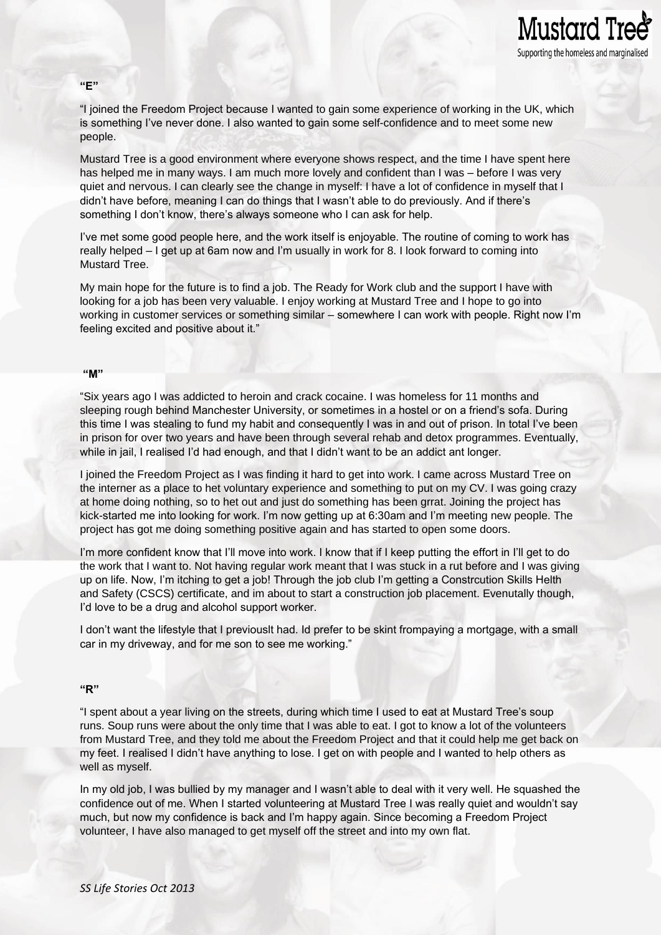

Mustard Tree<sup>s</sup>

Supporting the homeless and marginalised

Mustard Tree is a good environment where everyone shows respect, and the time I have spent here has helped me in many ways. I am much more lovely and confident than I was – before I was very quiet and nervous. I can clearly see the change in myself: I have a lot of confidence in myself that I didn't have before, meaning I can do things that I wasn't able to do previously. And if there's something I don't know, there's always someone who I can ask for help.

I've met some good people here, and the work itself is enjoyable. The routine of coming to work has really helped – I get up at 6am now and I'm usually in work for 8. I look forward to coming into Mustard Tree.

My main hope for the future is to find a job. The Ready for Work club and the support I have with looking for a job has been very valuable. I enjoy working at Mustard Tree and I hope to go into working in customer services or something similar – somewhere I can work with people. Right now I'm feeling excited and positive about it."

#### **"M"**

"Six years ago I was addicted to heroin and crack cocaine. I was homeless for 11 months and sleeping rough behind Manchester University, or sometimes in a hostel or on a friend's sofa. During this time I was stealing to fund my habit and consequently I was in and out of prison. In total I've been in prison for over two years and have been through several rehab and detox programmes. Eventually, while in jail, I realised I'd had enough, and that I didn't want to be an addict ant longer.

I joined the Freedom Project as I was finding it hard to get into work. I came across Mustard Tree on the interner as a place to het voluntary experience and something to put on my CV. I was going crazy at home doing nothing, so to het out and just do something has been grrat. Joining the project has kick-started me into looking for work. I'm now getting up at 6:30am and I'm meeting new people. The project has got me doing something positive again and has started to open some doors.

I'm more confident know that I'll move into work. I know that if I keep putting the effort in I'll get to do the work that I want to. Not having regular work meant that I was stuck in a rut before and I was giving up on life. Now, I'm itching to get a job! Through the job club I'm getting a Constrcution Skills Helth and Safety (CSCS) certificate, and im about to start a construction job placement. Evenutally though, I'd love to be a drug and alcohol support worker.

I don't want the lifestyle that I previouslt had. Id prefer to be skint frompaying a mortgage, with a small car in my driveway, and for me son to see me working."

### **"R"**

"I spent about a year living on the streets, during which time I used to eat at Mustard Tree's soup runs. Soup runs were about the only time that I was able to eat. I got to know a lot of the volunteers from Mustard Tree, and they told me about the Freedom Project and that it could help me get back on my feet. I realised I didn't have anything to lose. I get on with people and I wanted to help others as well as myself.

In my old job, I was bullied by my manager and I wasn't able to deal with it very well. He squashed the confidence out of me. When I started volunteering at Mustard Tree I was really quiet and wouldn't say much, but now my confidence is back and I'm happy again. Since becoming a Freedom Project volunteer, I have also managed to get myself off the street and into my own flat.

# **"E"**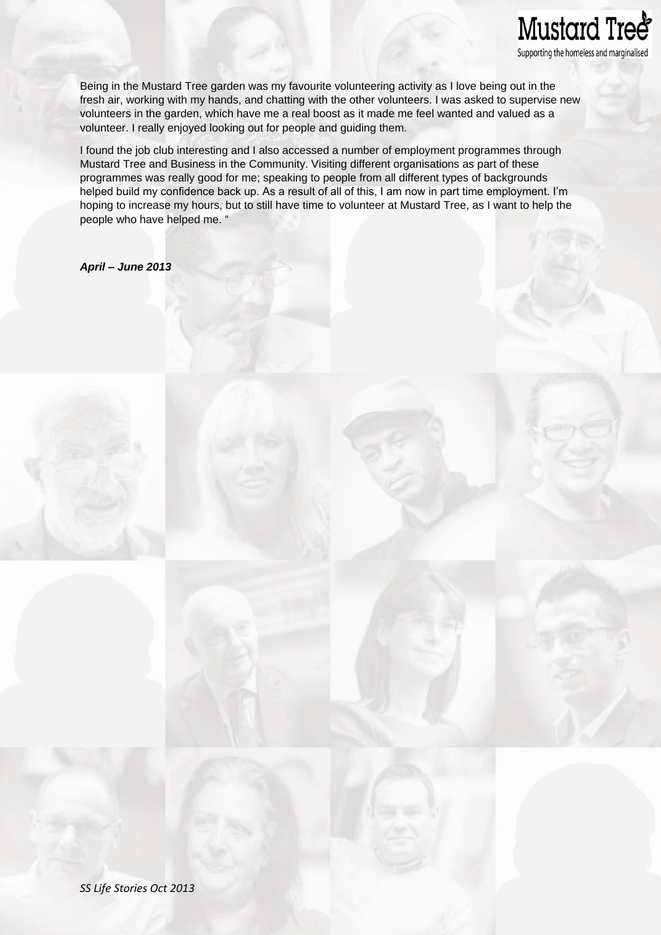# Mustard Tree<sup>®</sup> Supporting the homeless and marginalised

Being in the Mustard Tree garden was my favourite volunteering activity as I love being out in the fresh air, working with my hands, and chatting with the other volunteers. I was asked to supervise new volunteers in the garden, which have me a real boost as it made me feel wanted and valued as a volunteer. I really enjoyed looking out for people and guiding them.

I found the job club interesting and I also accessed a number of employment programmes through Mustard Tree and Business in the Community. Visiting different organisations as part of these programmes was really good for me; speaking to people from all different types of backgrounds helped build my confidence back up. As a result of all of this, I am now in part time employment. I'm hoping to increase my hours, but to still have time to volunteer at Mustard Tree, as I want to help the people who have helped me. "

*April – June 2013*